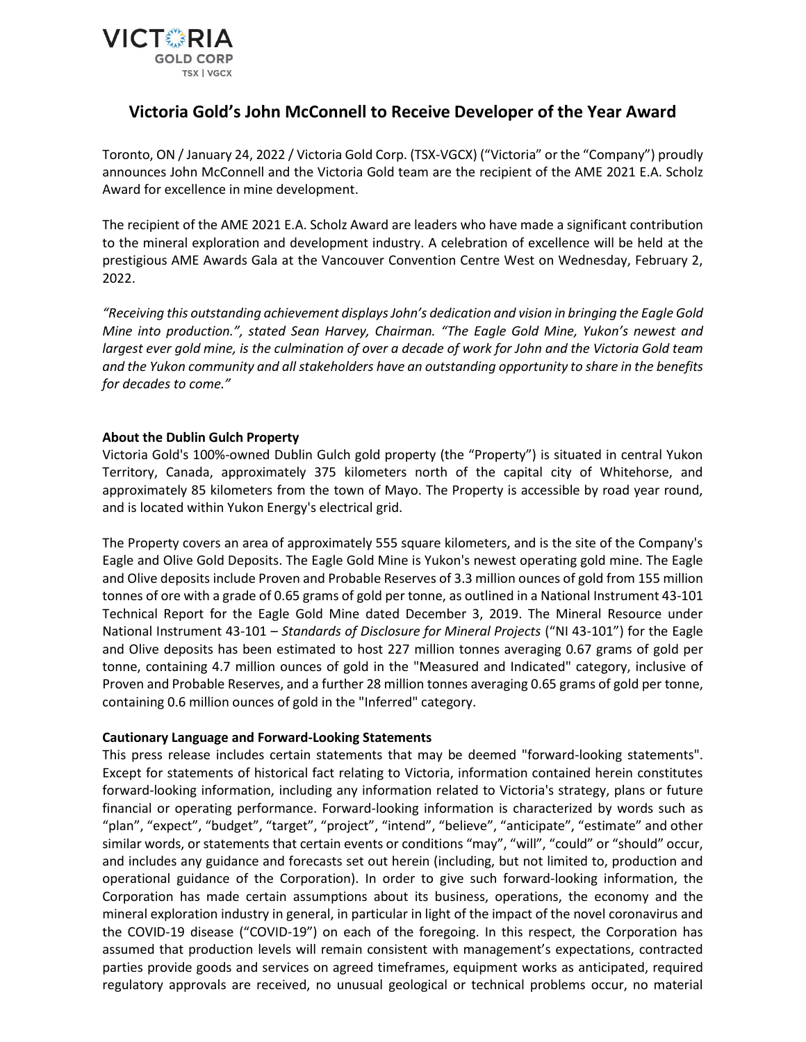

## **Victoria Gold's John McConnell to Receive Developer of the Year Award**

Toronto, ON / January 24, 2022 / Victoria Gold Corp. (TSX-VGCX) ("Victoria" or the "Company") proudly announces John McConnell and the Victoria Gold team are the recipient of the AME 2021 E.A. Scholz Award for excellence in mine development.

The recipient of the AME 2021 E.A. Scholz Award are leaders who have made a significant contribution to the mineral exploration and development industry. A celebration of excellence will be held at the prestigious AME Awards Gala at the Vancouver Convention Centre West on Wednesday, February 2, 2022.

*"Receiving this outstanding achievement displays John's dedication and vision in bringing the Eagle Gold Mine into production.", stated Sean Harvey, Chairman. "The Eagle Gold Mine, Yukon's newest and largest ever gold mine, is the culmination of over a decade of work for John and the Victoria Gold team and the Yukon community and all stakeholders have an outstanding opportunity to share in the benefits for decades to come."*

## **About the Dublin Gulch Property**

Victoria Gold's 100%-owned Dublin Gulch gold property (the "Property") is situated in central Yukon Territory, Canada, approximately 375 kilometers north of the capital city of Whitehorse, and approximately 85 kilometers from the town of Mayo. The Property is accessible by road year round, and is located within Yukon Energy's electrical grid.

The Property covers an area of approximately 555 square kilometers, and is the site of the Company's Eagle and Olive Gold Deposits. The Eagle Gold Mine is Yukon's newest operating gold mine. The Eagle and Olive deposits include Proven and Probable Reserves of 3.3 million ounces of gold from 155 million tonnes of ore with a grade of 0.65 grams of gold per tonne, as outlined in a National Instrument 43-101 Technical Report for the Eagle Gold Mine dated December 3, 2019. The Mineral Resource under National Instrument 43-101 – *Standards of Disclosure for Mineral Projects* ("NI 43-101") for the Eagle and Olive deposits has been estimated to host 227 million tonnes averaging 0.67 grams of gold per tonne, containing 4.7 million ounces of gold in the "Measured and Indicated" category, inclusive of Proven and Probable Reserves, and a further 28 million tonnes averaging 0.65 grams of gold per tonne, containing 0.6 million ounces of gold in the "Inferred" category.

## **Cautionary Language and Forward-Looking Statements**

This press release includes certain statements that may be deemed "forward-looking statements". Except for statements of historical fact relating to Victoria, information contained herein constitutes forward-looking information, including any information related to Victoria's strategy, plans or future financial or operating performance. Forward-looking information is characterized by words such as "plan", "expect", "budget", "target", "project", "intend", "believe", "anticipate", "estimate" and other similar words, or statements that certain events or conditions "may", "will", "could" or "should" occur, and includes any guidance and forecasts set out herein (including, but not limited to, production and operational guidance of the Corporation). In order to give such forward-looking information, the Corporation has made certain assumptions about its business, operations, the economy and the mineral exploration industry in general, in particular in light of the impact of the novel coronavirus and the COVID-19 disease ("COVID-19") on each of the foregoing. In this respect, the Corporation has assumed that production levels will remain consistent with management's expectations, contracted parties provide goods and services on agreed timeframes, equipment works as anticipated, required regulatory approvals are received, no unusual geological or technical problems occur, no material